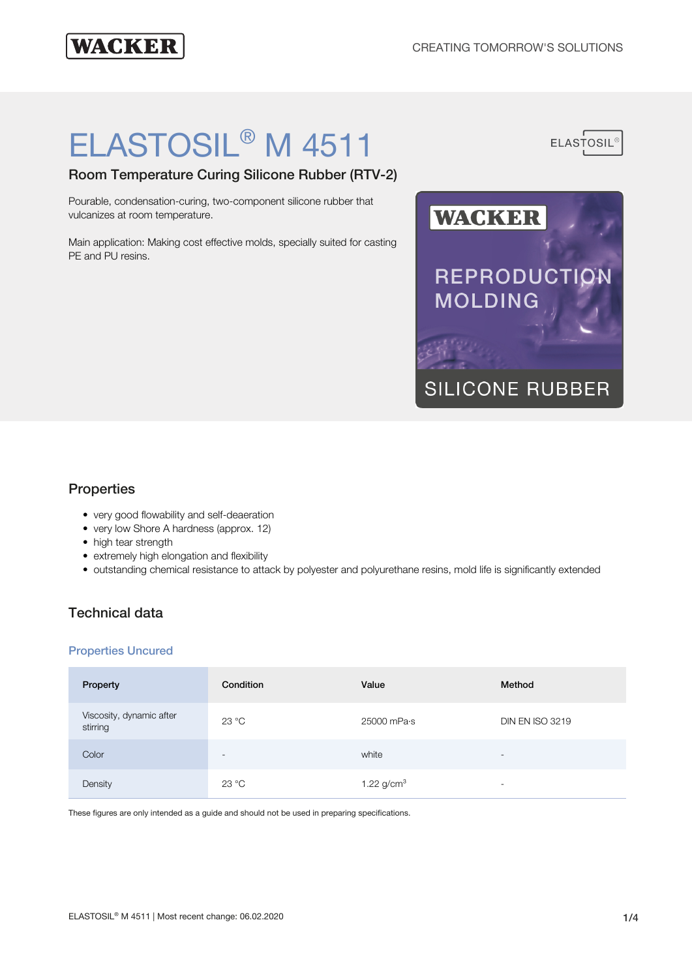**ELASTOSIL** 

## **WACKER**

# ELASTOSIL® M 4511

Room Temperature Curing Silicone Rubber (RTV-2)

Pourable, condensation-curing, two-component silicone rubber that vulcanizes at room temperature.

Main application: Making cost effective molds, specially suited for casting PE and PU resins.



## **Properties**

- very good flowability and self-deaeration
- very low Shore A hardness (approx. 12)
- high tear strength
- extremely high elongation and flexibility
- outstanding chemical resistance to attack by polyester and polyurethane resins, mold life is significantly extended

## Technical data

#### Properties Uncured

| Property                             | Condition                | Value           | Method                   |
|--------------------------------------|--------------------------|-----------------|--------------------------|
| Viscosity, dynamic after<br>stirring | 23 °C                    | 25000 mPa·s     | <b>DIN EN ISO 3219</b>   |
| Color                                | $\overline{\phantom{a}}$ | white           | $\overline{\phantom{a}}$ |
| Density                              | 23 °C                    | 1.22 $g/cm^{3}$ | $\overline{\phantom{a}}$ |

These figures are only intended as a guide and should not be used in preparing specifications.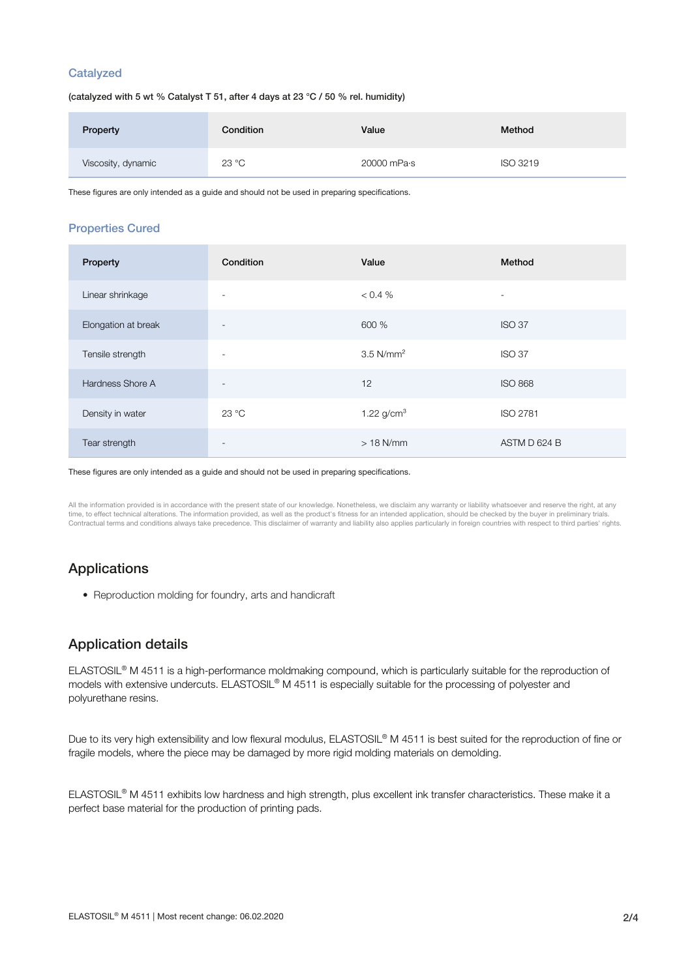#### **Catalyzed**

(catalyzed with 5 wt % Catalyst T 51, after 4 days at 23 °C / 50 % rel. humidity)

| Property           | Condition | Value       | Method          |
|--------------------|-----------|-------------|-----------------|
| Viscosity, dynamic | 23 °C     | 20000 mPa·s | <b>ISO 3219</b> |

These figures are only intended as a guide and should not be used in preparing specifications.

#### Properties Cured

| Property            | Condition                | Value                   | Method                   |
|---------------------|--------------------------|-------------------------|--------------------------|
| Linear shrinkage    | $\overline{\phantom{a}}$ | < 0.4 %                 | $\overline{\phantom{a}}$ |
| Elongation at break | $\overline{\phantom{a}}$ | 600 %                   | <b>ISO 37</b>            |
| Tensile strength    | $\overline{\phantom{a}}$ | $3.5$ N/mm <sup>2</sup> | <b>ISO 37</b>            |
| Hardness Shore A    | $\overline{\phantom{a}}$ | 12                      | <b>ISO 868</b>           |
| Density in water    | 23 °C                    | 1.22 $g/cm^{3}$         | <b>ISO 2781</b>          |
| Tear strength       | $\overline{\phantom{a}}$ | $>18$ N/mm              | ASTM D 624 B             |

#### These figures are only intended as a guide and should not be used in preparing specifications.

All the information provided is in accordance with the present state of our knowledge. Nonetheless, we disclaim any warranty or liability whatsoever and reserve the right, at any time, to effect technical alterations. The information provided, as well as the product's fitness for an intended application, should be checked by the buyer in preliminary trials Contractual terms and conditions always take precedence. This disclaimer of warranty and liability also applies particularly in foreign countries with respect to third parties' rights.

## Applications

• Reproduction molding for foundry, arts and handicraft

## Application details

ELASTOSIL® M 4511 is a high-performance moldmaking compound, which is particularly suitable for the reproduction of models with extensive undercuts. ELASTOSIL® M 4511 is especially suitable for the processing of polyester and polyurethane resins.

Due to its very high extensibility and low flexural modulus, ELASTOSIL® M 4511 is best suited for the reproduction of fine or fragile models, where the piece may be damaged by more rigid molding materials on demolding.

ELASTOSIL® M 4511 exhibits low hardness and high strength, plus excellent ink transfer characteristics. These make it a perfect base material for the production of printing pads.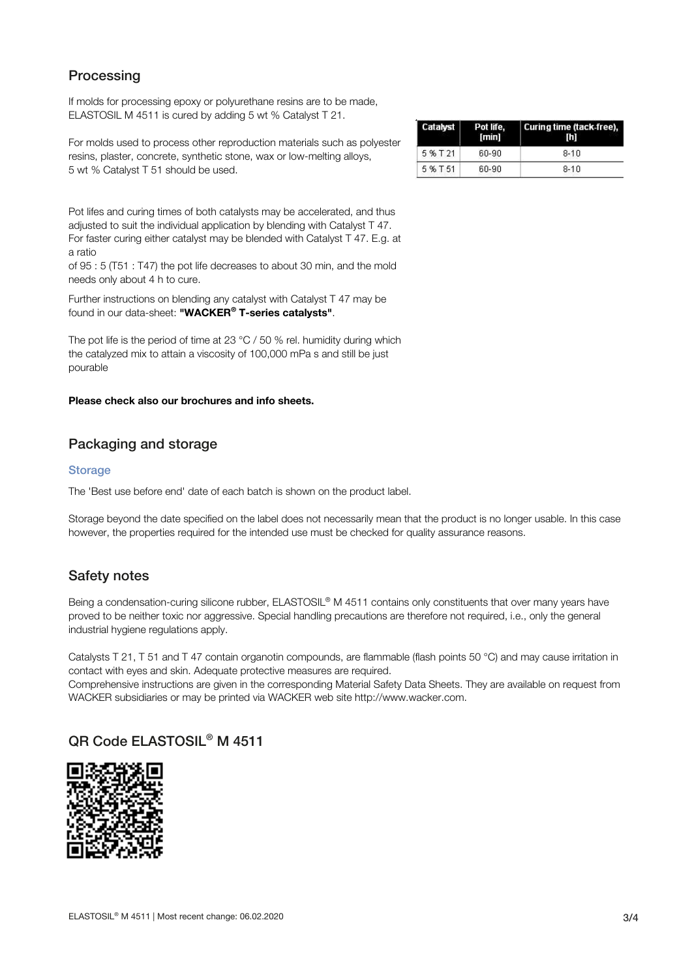## **Processing**

If molds for processing epoxy or polyurethane resins are to be made, ELASTOSIL M 4511 is cured by adding 5 wt % Catalyst T 21.

For molds used to process other reproduction materials such as polyester resins, plaster, concrete, synthetic stone, wax or low-melting alloys, 5 wt % Catalyst T 51 should be used.

| Catalyst | Pot life.<br>[min] | Curing time (tack-free),<br>m |
|----------|--------------------|-------------------------------|
| 5 % T 21 | 60-90              | $8 - 10$                      |
| 5 % T 51 | 60-90              | $8 - 10$                      |

Pot lifes and curing times of both catalysts may be accelerated, and thus adjusted to suit the individual application by blending with Catalyst T 47. For faster curing either catalyst may be blended with Catalyst T 47. E.g. at a ratio

of 95 : 5 (T51 : T47) the pot life decreases to about 30 min, and the mold needs only about 4 h to cure.

Further instructions on blending any catalyst with Catalyst T 47 may be found in our data-sheet: "WACKER® T-series catalysts".

The pot life is the period of time at 23 °C / 50 % rel. humidity during which the catalyzed mix to attain a viscosity of 100,000 mPa s and still be just pourable

#### Please check also our brochures and info sheets.

## Packaging and storage

#### **Storage**

The 'Best use before end' date of each batch is shown on the product label.

Storage beyond the date specified on the label does not necessarily mean that the product is no longer usable. In this case however, the properties required for the intended use must be checked for quality assurance reasons.

### Safety notes

Being a condensation-curing silicone rubber, ELASTOSIL® M 4511 contains only constituents that over many years have proved to be neither toxic nor aggressive. Special handling precautions are therefore not required, i.e., only the general industrial hygiene regulations apply.

Catalysts T 21, T 51 and T 47 contain organotin compounds, are flammable (flash points 50 °C) and may cause irritation in contact with eyes and skin. Adequate protective measures are required.

Comprehensive instructions are given in the corresponding Material Safety Data Sheets. They are available on request from WACKER subsidiaries or may be printed via WACKER web site http://www.wacker.com.

## QR Code ELASTOSIL® M 4511